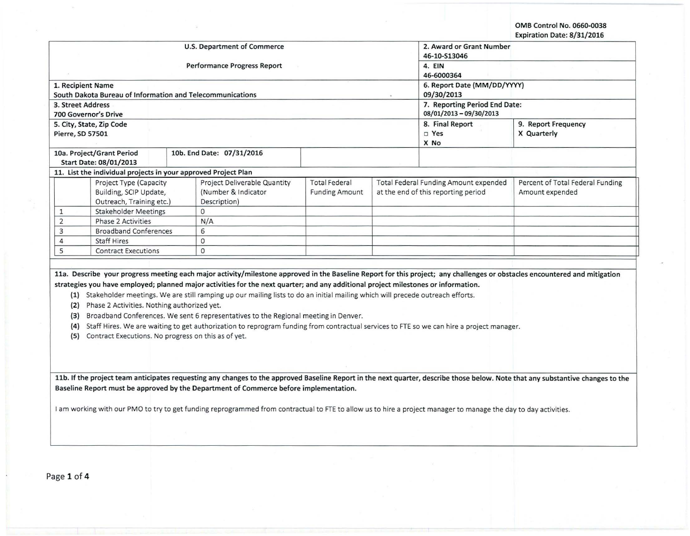OMB Control No. 0660-0038 Expiration Date: 8/31/2016

|                                                                |                                                                                                                                                                 |                                           |                                                          | expiration Date: 8/31/2016                                                                                                                                                      |  |  |
|----------------------------------------------------------------|-----------------------------------------------------------------------------------------------------------------------------------------------------------------|-------------------------------------------|----------------------------------------------------------|---------------------------------------------------------------------------------------------------------------------------------------------------------------------------------|--|--|
|                                                                | U.S. Department of Commerce                                                                                                                                     | 2. Award or Grant Number<br>46-10-S13046  |                                                          |                                                                                                                                                                                 |  |  |
|                                                                | <b>Performance Progress Report</b>                                                                                                                              | 4. EIN                                    |                                                          |                                                                                                                                                                                 |  |  |
|                                                                |                                                                                                                                                                 | 46-6000364                                |                                                          |                                                                                                                                                                                 |  |  |
| 1. Recipient Name                                              |                                                                                                                                                                 | 6. Report Date (MM/DD/YYYY)<br>09/30/2013 |                                                          |                                                                                                                                                                                 |  |  |
| South Dakota Bureau of Information and Telecommunications      |                                                                                                                                                                 |                                           |                                                          |                                                                                                                                                                                 |  |  |
| 3. Street Address<br><b>700 Governor's Drive</b>               |                                                                                                                                                                 |                                           | 7. Reporting Period End Date:<br>08/01/2013 - 09/30/2013 |                                                                                                                                                                                 |  |  |
| 5. City, State, Zip Code                                       |                                                                                                                                                                 |                                           | 8. Final Report<br>9. Report Frequency                   |                                                                                                                                                                                 |  |  |
| Pierre, SD 57501                                               |                                                                                                                                                                 |                                           | □ Yes<br>X No                                            | X Quarterly                                                                                                                                                                     |  |  |
| 10a. Project/Grant Period<br>Start Date: 08/01/2013            | 10b. End Date: 07/31/2016                                                                                                                                       |                                           |                                                          |                                                                                                                                                                                 |  |  |
| 11. List the individual projects in your approved Project Plan |                                                                                                                                                                 |                                           |                                                          |                                                                                                                                                                                 |  |  |
| Project Type (Capacity                                         | Project Deliverable Quantity                                                                                                                                    | <b>Total Federal</b>                      | <b>Total Federal Funding Amount expended</b>             | Percent of Total Federal Funding                                                                                                                                                |  |  |
| Building, SCIP Update,                                         | (Number & Indicator                                                                                                                                             | <b>Funding Amount</b>                     | at the end of this reporting period                      | Amount expended                                                                                                                                                                 |  |  |
| Outreach, Training etc.)                                       | Description)                                                                                                                                                    |                                           |                                                          |                                                                                                                                                                                 |  |  |
| <b>Stakeholder Meetings</b><br>1                               | $\overline{0}$                                                                                                                                                  |                                           |                                                          |                                                                                                                                                                                 |  |  |
| $\overline{2}$<br>Phase 2 Activities                           | N/A                                                                                                                                                             |                                           |                                                          |                                                                                                                                                                                 |  |  |
| 3<br><b>Broadband Conferences</b>                              | 6                                                                                                                                                               |                                           |                                                          |                                                                                                                                                                                 |  |  |
| $\overline{4}$<br><b>Staff Hires</b>                           | $\mathbf 0$                                                                                                                                                     |                                           |                                                          |                                                                                                                                                                                 |  |  |
| 5<br><b>Contract Executions</b>                                | $\circ$                                                                                                                                                         |                                           |                                                          |                                                                                                                                                                                 |  |  |
|                                                                |                                                                                                                                                                 |                                           |                                                          |                                                                                                                                                                                 |  |  |
|                                                                |                                                                                                                                                                 |                                           |                                                          | 11a. Describe your progress meeting each major activity/milestone approved in the Baseline Report for this project; any challenges or obstacles encountered and mitigation      |  |  |
|                                                                | strategies you have employed; planned major activities for the next quarter; and any additional project milestones or information.                              |                                           |                                                          |                                                                                                                                                                                 |  |  |
|                                                                | (1) Stakeholder meetings. We are still ramping up our mailing lists to do an initial mailing which will precede outreach efforts.                               |                                           |                                                          |                                                                                                                                                                                 |  |  |
| (2) Phase 2 Activities. Nothing authorized yet.                |                                                                                                                                                                 |                                           |                                                          |                                                                                                                                                                                 |  |  |
| (3)                                                            | Broadband Conferences. We sent 6 representatives to the Regional meeting in Denver.                                                                             |                                           |                                                          |                                                                                                                                                                                 |  |  |
| (4)                                                            | Staff Hires. We are waiting to get authorization to reprogram funding from contractual services to FTE so we can hire a project manager.                        |                                           |                                                          |                                                                                                                                                                                 |  |  |
| Contract Executions. No progress on this as of yet.<br>(5)     |                                                                                                                                                                 |                                           |                                                          |                                                                                                                                                                                 |  |  |
|                                                                |                                                                                                                                                                 |                                           |                                                          |                                                                                                                                                                                 |  |  |
|                                                                |                                                                                                                                                                 |                                           |                                                          |                                                                                                                                                                                 |  |  |
|                                                                |                                                                                                                                                                 |                                           |                                                          |                                                                                                                                                                                 |  |  |
|                                                                |                                                                                                                                                                 |                                           |                                                          |                                                                                                                                                                                 |  |  |
|                                                                |                                                                                                                                                                 |                                           |                                                          | 11b. If the project team anticipates requesting any changes to the approved Baseline Report in the next quarter, describe those below. Note that any substantive changes to the |  |  |
|                                                                | Baseline Report must be approved by the Department of Commerce before implementation.                                                                           |                                           |                                                          |                                                                                                                                                                                 |  |  |
|                                                                |                                                                                                                                                                 |                                           |                                                          |                                                                                                                                                                                 |  |  |
|                                                                | I am working with our PMO to try to get funding reprogrammed from contractual to FTE to allow us to hire a project manager to manage the day to day activities. |                                           |                                                          |                                                                                                                                                                                 |  |  |
|                                                                |                                                                                                                                                                 |                                           |                                                          |                                                                                                                                                                                 |  |  |
|                                                                |                                                                                                                                                                 |                                           |                                                          |                                                                                                                                                                                 |  |  |
|                                                                |                                                                                                                                                                 |                                           |                                                          |                                                                                                                                                                                 |  |  |
|                                                                |                                                                                                                                                                 |                                           |                                                          |                                                                                                                                                                                 |  |  |
|                                                                |                                                                                                                                                                 |                                           |                                                          |                                                                                                                                                                                 |  |  |
|                                                                |                                                                                                                                                                 |                                           |                                                          |                                                                                                                                                                                 |  |  |

Page 1 of 4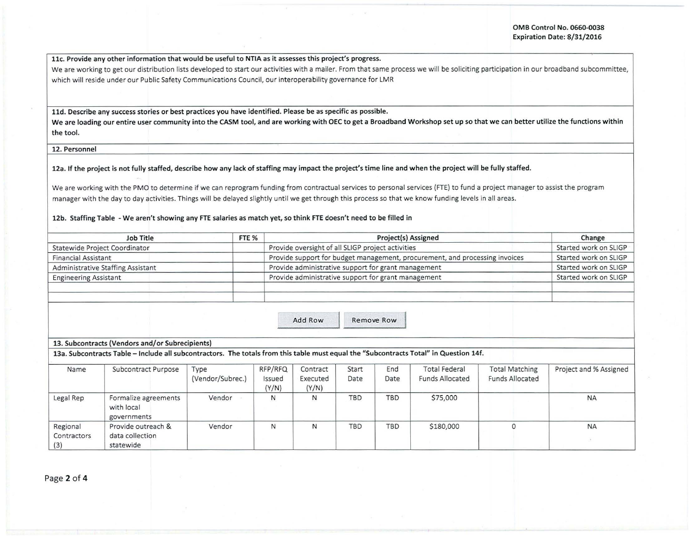11c. Provide any other information that would be useful to NTIA as it assesses this project's progress.

We are working to get our distribution lists developed to start our activities with a mailer. From that same process we will be soliciting participation in our broadband subcommittee, which will reside under our Public Safety Communications Council, our interoperability governance for LMR

11d. Describe any success stories or best practices you have identified. Please be as specific as possible.

We are loading our entire user community into the CASM tool, and are working with OEC to get a Broadband Workshop set up so that we can better utilize the functions within the tool.

12. Personnel

12a. If the project is not fully staffed, describe how any lack of staffing may impact the project's time line and when the project will be fully staffed.

We are working with the PMO to determine if we can reprogram funding from contractual services to personal services (FTE) to fund a project manager to assist the program manager with the day to day activities. Things will be delayed slightly until we get through this process so that we know funding levels in all areas.

## 12b. Staffing Table -We aren't showing any FTE salaries as match yet, so think FTE doesn't need to be filled in

| <b>Job Title</b>                  | FTE % | Project(s) Assigned                                                         | Change                |
|-----------------------------------|-------|-----------------------------------------------------------------------------|-----------------------|
| Statewide Project Coordinator     |       | Provide oversight of all SLIGP project activities                           | Started work on SLIGP |
| <b>Financial Assistant</b>        |       | Provide support for budget management, procurement, and processing invoices | Started work on SLIGP |
| Administrative Staffing Assistant |       | Provide administrative support for grant management                         | Started work on SLIGP |
| <b>Engineering Assistant</b>      |       | Provide administrative support for grant management                         | Started work on SLIGP |
|                                   |       |                                                                             |                       |
|                                   |       | Viscosione come e ca mind                                                   |                       |

Add Row Remove Row

13. Subcontracts (Vendors and/or Subrecipients)

13a. Subcontracts Table -Include all subcontractors. The totals from this table must equal the "Subcontracts Total" in Question 14f.

| Name                           | Subcontract Purpose                                | Type<br>(Vendor/Subrec.) | RFP/RFQ<br>Issued<br>(Y/N) | Contract<br>Executed<br>(Y/N) | Start<br>Date | End<br>Date | <b>Total Federal</b><br><b>Funds Allocated</b> | <b>Total Matching</b><br><b>Funds Allocated</b> | Project and % Assigned |
|--------------------------------|----------------------------------------------------|--------------------------|----------------------------|-------------------------------|---------------|-------------|------------------------------------------------|-------------------------------------------------|------------------------|
| Legal Rep                      | Formalize agreements<br>with local<br>governments  | Vendor                   | N                          | Ν                             | <b>TBD</b>    | <b>TBD</b>  | \$75,000                                       |                                                 | <b>NA</b>              |
| Regional<br>Contractors<br>(3) | Provide outreach &<br>data collection<br>statewide | Vendor                   | N                          | N                             | TBD           | <b>TBD</b>  | \$180,000                                      |                                                 | <b>NA</b>              |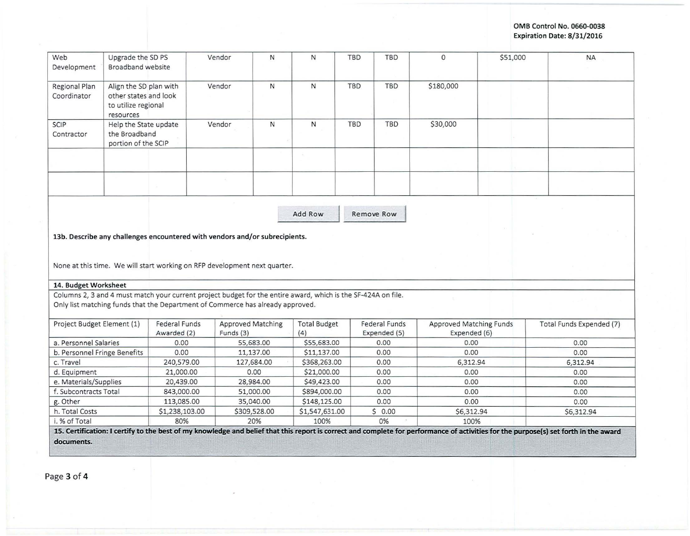## OMB Control No. 0660-0038 Expiration Date: 8/31/2016

| Web<br>Development                                                                                                                               | Upgrade the SD PS<br>Broadband website                                              |                              | Vendor<br>N                                                                                                   |              | N                   | TBD<br>TBD                           | $\mathbf{0}$ |                                         | \$51,000 | <b>NA</b>                |
|--------------------------------------------------------------------------------------------------------------------------------------------------|-------------------------------------------------------------------------------------|------------------------------|---------------------------------------------------------------------------------------------------------------|--------------|---------------------|--------------------------------------|--------------|-----------------------------------------|----------|--------------------------|
| Regional Plan<br>Coordinator                                                                                                                     | Align the SD plan with<br>other states and look<br>to utilize regional<br>resources |                              | $\mathsf{N}$<br>Vendor                                                                                        |              | $\mathsf{N}$        | TBD<br>TBD                           | \$180,000    |                                         |          |                          |
| SCIP<br>Contractor                                                                                                                               | Help the State update<br>the Broadband<br>portion of the SCIP                       |                              | Vendor                                                                                                        | $\mathsf{N}$ | N                   | <b>TBD</b><br><b>TBD</b>             | \$30,000     |                                         |          |                          |
|                                                                                                                                                  |                                                                                     |                              |                                                                                                               |              |                     |                                      |              |                                         |          |                          |
|                                                                                                                                                  |                                                                                     |                              |                                                                                                               |              |                     |                                      |              |                                         |          |                          |
|                                                                                                                                                  |                                                                                     |                              |                                                                                                               |              |                     |                                      |              |                                         |          |                          |
|                                                                                                                                                  |                                                                                     |                              | 13b. Describe any challenges encountered with vendors and/or subrecipients.                                   | Add Row      |                     | Remove Row                           |              |                                         |          |                          |
|                                                                                                                                                  |                                                                                     |                              | None at this time. We will start working on RFP development next quarter.                                     |              |                     |                                      |              |                                         |          |                          |
|                                                                                                                                                  |                                                                                     |                              | Columns 2, 3 and 4 must match your current project budget for the entire award, which is the SF-424A on file. |              |                     |                                      |              |                                         |          |                          |
|                                                                                                                                                  |                                                                                     |                              | Only list matching funds that the Department of Commerce has already approved.                                |              |                     |                                      |              |                                         |          |                          |
| 14. Budget Worksheet<br>Project Budget Element (1)                                                                                               |                                                                                     | Federal Funds<br>Awarded (2) | <b>Approved Matching</b><br>Funds (3)                                                                         | (4)          | <b>Total Budget</b> | <b>Federal Funds</b><br>Expended (5) |              | Approved Matching Funds<br>Expended (6) |          | Total Funds Expended (7) |
|                                                                                                                                                  |                                                                                     | 0.00                         | 55,683.00                                                                                                     |              | \$55,683.00         | 0.00                                 |              | 0.00                                    |          | 0.00                     |
|                                                                                                                                                  |                                                                                     | 0.00                         | 11,137.00                                                                                                     |              | \$11,137.00         | 0.00                                 |              | 0.00                                    |          | 0.00                     |
|                                                                                                                                                  |                                                                                     | 240,579.00                   | 127,684.00                                                                                                    |              | \$368,263.00        | 0.00                                 |              | 6.312.94                                |          | 6,312.94                 |
|                                                                                                                                                  |                                                                                     | 21,000.00                    | 0.00                                                                                                          |              | \$21,000.00         | 0.00                                 |              | 0.00                                    |          | 0.00                     |
|                                                                                                                                                  |                                                                                     | 20,439.00                    | 28,984.00                                                                                                     |              | \$49,423.00         | 0.00                                 |              | 0.00                                    |          | 0.00                     |
|                                                                                                                                                  |                                                                                     | 843,000.00                   | 51,000.00                                                                                                     |              | \$894,000.00        | 0.00                                 |              | 0.00                                    |          | 0.00                     |
| a. Personnel Salaries<br>b. Personnel Fringe Benefits<br>c. Travel<br>d. Equipment<br>e. Materials/Supplies<br>f. Subcontracts Total<br>g. Other |                                                                                     | 113,085.00                   | 35,040.00                                                                                                     |              | \$148,125.00        | 0.00                                 |              | 0.00                                    |          | 0.00                     |
| h. Total Costs                                                                                                                                   |                                                                                     | \$1,238,103.00               | \$309,528.00                                                                                                  |              | \$1,547,631.00      | \$0.00                               |              | \$6,312.94                              |          | \$6,312.94               |

- - - ---------- ---- --· ------- -